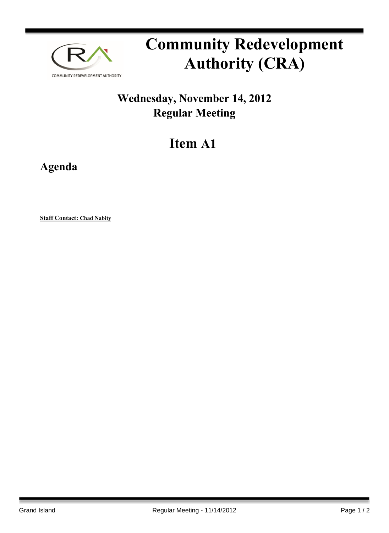

## **Community Redevelopment Authority (CRA)**

## **Wednesday, November 14, 2012 Regular Meeting**

## **Item A1**

**Agenda**

**Staff Contact: Chad Nabity**